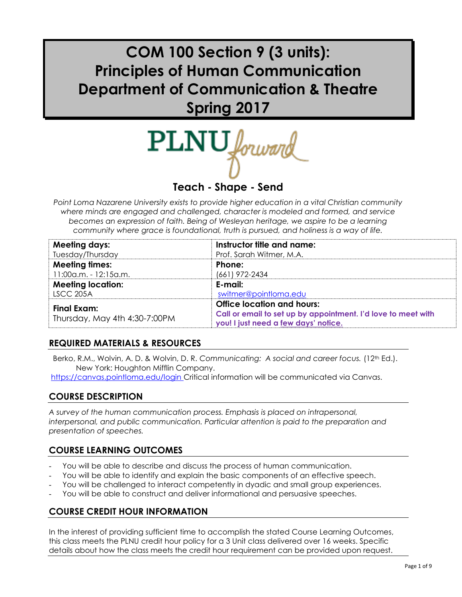# **COM 100 Section 9 (3 units): Principles of Human Communication Department of Communication & Theatre Spring 2017**

PLNU

# **Teach - Shape - Send**

*Point Loma Nazarene University exists to provide higher education in a vital Christian community where minds are engaged and challenged, character is modeled and formed, and service becomes an expression of faith. Being of Wesleyan heritage, we aspire to be a learning community where grace is foundational, truth is pursued, and holiness is a way of life.*

| <b>Meeting days:</b>          | Instructor title and name:                                    |
|-------------------------------|---------------------------------------------------------------|
| Tuesday/Thursday              | Prof. Sarah Witmer, M.A.                                      |
| <b>Meeting times:</b>         | Phone:                                                        |
| 11:00 a.m. - 12:15 a.m.       | (661) 972-2434                                                |
| <b>Meeting location:</b>      | E-mail:                                                       |
| <b>LSCC 205A</b>              | switmer@pointloma.edu                                         |
| Final Exam:                   | Office location and hours:                                    |
| Thursday, May 4th 4:30-7:00PM | Call or email to set up by appointment. I'd love to meet with |
|                               | you! I just need a few days' notice.                          |

### **REQUIRED MATERIALS & RESOURCES**

Berko, R.M., Wolvin, A.D. & Wolvin, D. R. Communicating: A social and career focus. (12<sup>th</sup> Ed.). New York: Houghton Mifflin Company.

https://canvas.pointloma.edu/login Critical information will be communicated via Canvas.

### **COURSE DESCRIPTION**

*A survey of the human communication process. Emphasis is placed on intrapersonal, interpersonal, and public communication. Particular attention is paid to the preparation and presentation of speeches.*

### **COURSE LEARNING OUTCOMES**

- You will be able to describe and discuss the process of human communication.
- You will be able to identify and explain the basic components of an effective speech.
- You will be challenged to interact competently in dyadic and small group experiences.
- You will be able to construct and deliver informational and persuasive speeches.

### **COURSE CREDIT HOUR INFORMATION**

In the interest of providing sufficient time to accomplish the stated Course Learning Outcomes, this class meets the PLNU credit hour policy for a 3 Unit class delivered over 16 weeks. Specific details about how the class meets the credit hour requirement can be provided upon request.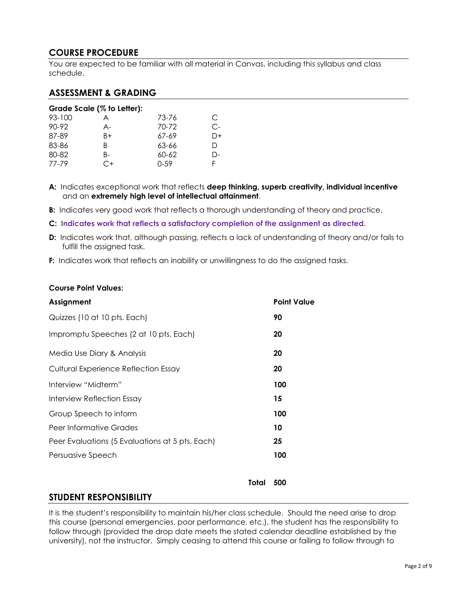### **COURSE PROCEDURE**

You are expected to be familiar with all material in Canvas, including this syllabus and class schedule.

#### **ASSESSMENT & GRADING**

|        | Grade Scale (% to Letter): |           |    |
|--------|----------------------------|-----------|----|
| 93-100 | A                          | 73-76     | C  |
| 90-92  | A-                         | 70-72     | C- |
| 87-89  | B+                         | 67-69     | D+ |
| 83-86  | B                          | 63-66     | Ð  |
| 80-82  | B-                         | $60 - 62$ | D- |
| 77-79  | €+                         | $0 - 59$  | F  |

**A:** Indicates exceptional work that reflects **deep thinking, superb creativity, individual incentive** and an **extremely high level of intellectual attainment**.

**B:** Indicates very good work that reflects a thorough understanding of theory and practice.

**C: Indicates work that reflects a satisfactory completion of the assignment as directed.**

**D:** Indicates work that, although passing, reflects a lack of understanding of theory and/or fails to fulfill the assigned task.

**F:** Indicates work that reflects an inability or unwillingness to do the assigned tasks.

#### **Course Point Values:**

| Assignment                                      | <b>Point Value</b> |
|-------------------------------------------------|--------------------|
| Quizzes (10 at 10 pts. Each)                    | 90                 |
| Impromptu Speeches (2 at 10 pts. Each)          | 20                 |
| Media Use Diary & Analysis                      | 20                 |
| Cultural Experience Reflection Essay            | 20                 |
| Interview "Midterm"                             | 100                |
| Interview Reflection Essay                      | 15                 |
| Group Speech to inform                          | 100                |
| Peer Informative Grades                         | 10                 |
| Peer Evaluations (5 Evaluations at 5 pts. Each) | 25                 |
| Persuasive Speech                               | 100                |
|                                                 |                    |

#### **Total 500**

#### **STUDENT RESPONSIBILITY**

It is the student's responsibility to maintain his/her class schedule. Should the need arise to drop this course (personal emergencies, poor performance, etc.), the student has the responsibility to follow through (provided the drop date meets the stated calendar deadline established by the university), not the instructor. Simply ceasing to attend this course or failing to follow through to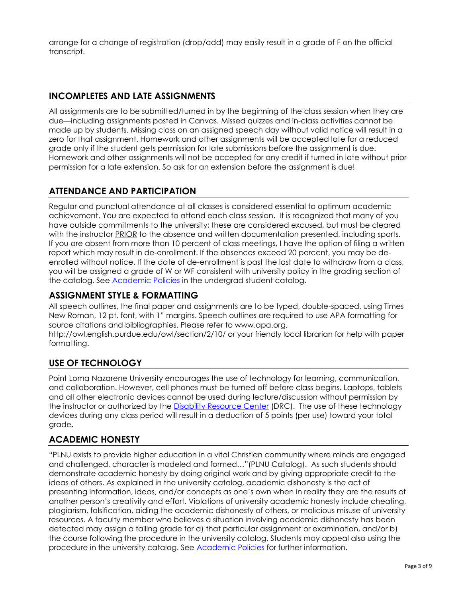arrange for a change of registration (drop/add) may easily result in a grade of F on the official transcript.

# **INCOMPLETES AND LATE ASSIGNMENTS**

All assignments are to be submitted/turned in by the beginning of the class session when they are due—including assignments posted in Canvas. Missed quizzes and in-class activities cannot be made up by students. Missing class on an assigned speech day without valid notice will result in a zero for that assignment. Homework and other assignments will be accepted late for a reduced grade only if the student gets permission for late submissions before the assignment is due. Homework and other assignments will not be accepted for any credit if turned in late without prior permission for a late extension. So ask for an extension before the assignment is due!

### **ATTENDANCE AND PARTICIPATION**

Regular and punctual attendance at all classes is considered essential to optimum academic achievement. You are expected to attend each class session. It is recognized that many of you have outside commitments to the university; these are considered excused, but must be cleared with the instructor PRIOR to the absence and written documentation presented, including sports. If you are absent from more than 10 percent of class meetings, I have the option of filing a written report which may result in de-enrollment. If the absences exceed 20 percent, you may be deenrolled without notice. If the date of de-enrollment is past the last date to withdraw from a class, you will be assigned a grade of W or WF consistent with university policy in the grading section of the catalog. See **Academic Policies** in the undergrad student catalog.

# **ASSIGNMENT STYLE & FORMATTING**

All speech outlines, the final paper and assignments are to be typed, double-spaced, using Times New Roman, 12 pt. font, with 1" margins. Speech outlines are required to use APA formatting for source citations and bibliographies. Please refer to www.apa.org,

http://owl.english.purdue.edu/owl/section/2/10/ or your friendly local librarian for help with paper formatting.

### **USE OF TECHNOLOGY**

Point Loma Nazarene University encourages the use of technology for learning, communication, and collaboration. However, cell phones must be turned off before class begins. Laptops, tablets and all other electronic devices cannot be used during lecture/discussion without permission by the instructor or authorized by the [Disability Resource Center](http://www.pointloma.edu/experience/offices/administrative-offices/academic-advising-office/disability-resource-center) (DRC). The use of these technology devices during any class period will result in a deduction of 5 points (per use) toward your total grade.

### **ACADEMIC HONESTY**

"PLNU exists to provide higher education in a vital Christian community where minds are engaged and challenged, character is modeled and formed…"(PLNU Catalog). As such students should demonstrate academic honesty by doing original work and by giving appropriate credit to the ideas of others. As explained in the university catalog, academic dishonesty is the act of presenting information, ideas, and/or concepts as one's own when in reality they are the results of another person's creativity and effort. Violations of university academic honesty include cheating, plagiarism, falsification, aiding the academic dishonesty of others, or malicious misuse of university resources. A faculty member who believes a situation involving academic dishonesty has been detected may assign a failing grade for a) that particular assignment or examination, and/or b) the course following the procedure in the university catalog. Students may appeal also using the procedure in the university catalog. See [Academic Policies](http://www.pointloma.edu/experience/academics/catalogs/undergraduate-catalog/point-loma-education/academic-policies) for further information.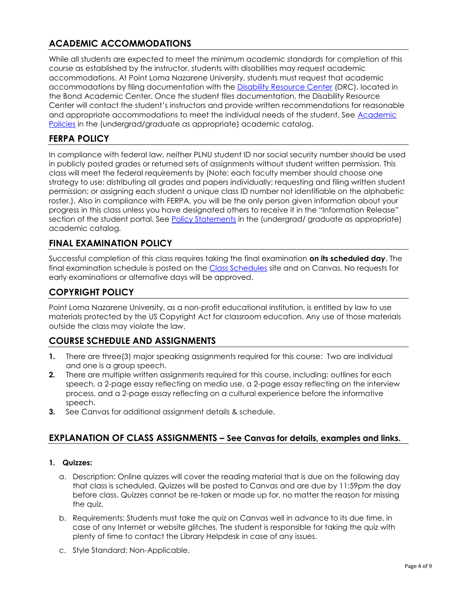# **ACADEMIC ACCOMMODATIONS**

While all students are expected to meet the minimum academic standards for completion of this course as established by the instructor, students with disabilities may request academic accommodations. At Point Loma Nazarene University, students must request that academic accommodations by filing documentation with the [Disability Resource Center](http://www.pointloma.edu/experience/offices/administrative-offices/academic-advising-office/disability-resource-center) (DRC), located in the Bond Academic Center. Once the student files documentation, the Disability Resource Center will contact the student's instructors and provide written recommendations for reasonable and appropriate accommodations to meet the individual needs of the student. See [Academic](http://www.pointloma.edu/experience/academics/catalogs/undergraduate-catalog/point-loma-education/academic-policies)  [Policies](http://www.pointloma.edu/experience/academics/catalogs/undergraduate-catalog/point-loma-education/academic-policies) in the (undergrad/graduate as appropriate) academic catalog.

### **FERPA POLICY**

In compliance with federal law, neither PLNU student ID nor social security number should be used in publicly posted grades or returned sets of assignments without student written permission. This class will meet the federal requirements by (Note: each faculty member should choose one strategy to use: distributing all grades and papers individually; requesting and filing written student permission; or assigning each student a unique class ID number not identifiable on the alphabetic roster.). Also in compliance with FERPA, you will be the only person given information about your progress in this class unless you have designated others to receive it in the "Information Release" section of the student portal. See **Policy Statements** in the (undergrad/ graduate as appropriate) academic catalog.

### **FINAL EXAMINATION POLICY**

Successful completion of this class requires taking the final examination **on its scheduled day**. The final examination schedule is posted on the [Class Schedules](http://www.pointloma.edu/experience/academics/class-schedules) site and on Canvas. No requests for early examinations or alternative days will be approved.

### **COPYRIGHT POLICY**

Point Loma Nazarene University, as a non-profit educational institution, is entitled by law to use materials protected by the US Copyright Act for classroom education. Any use of those materials outside the class may violate the law.

### **COURSE SCHEDULE AND ASSIGNMENTS**

- **1.** There are three(3) major speaking assignments required for this course: Two are individual and one is a group speech.
- **2.** There are multiple written assignments required for this course, including: outlines for each speech, a 2-page essay reflecting on media use, a 2-page essay reflecting on the interview process, and a 2-page essay reflecting on a cultural experience before the informative speech.
- **3.** See Canvas for additional assignment details & schedule.

#### **EXPLANATION OF CLASS ASSIGNMENTS – See Canvas for details, examples and links.**

#### **1. Quizzes:**

- a. Description: Online quizzes will cover the reading material that is due on the following day that class is scheduled. Quizzes will be posted to Canvas and are due by 11:59pm the day before class. Quizzes cannot be re-taken or made up for, no matter the reason for missing the quiz.
- b. Requirements: Students must take the quiz on Canvas well in advance to its due time, in case of any Internet or website glitches. The student is responsible for taking the quiz with plenty of time to contact the Library Helpdesk in case of any issues.
- c. Style Standard: Non-Applicable.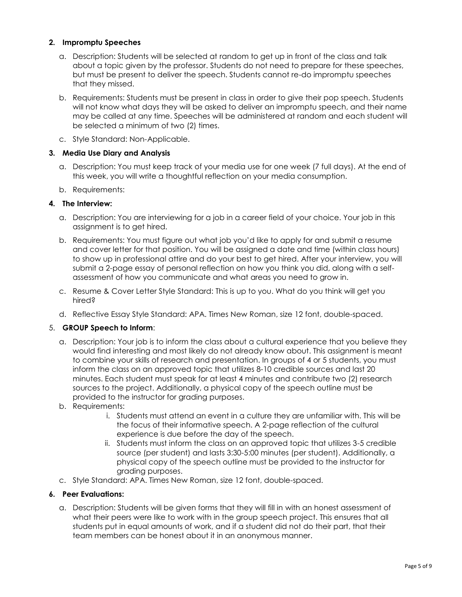#### **2. Impromptu Speeches**

- a. Description: Students will be selected at random to get up in front of the class and talk about a topic given by the professor. Students do not need to prepare for these speeches, but must be present to deliver the speech. Students cannot re-do impromptu speeches that they missed.
- b. Requirements: Students must be present in class in order to give their pop speech. Students will not know what days they will be asked to deliver an impromptu speech, and their name may be called at any time. Speeches will be administered at random and each student will be selected a minimum of two (2) times.
- c. Style Standard: Non-Applicable.

#### **3. Media Use Diary and Analysis**

- a. Description: You must keep track of your media use for one week (7 full days). At the end of this week, you will write a thoughtful reflection on your media consumption.
- b. Requirements:

#### **4. The Interview:**

- a. Description: You are interviewing for a job in a career field of your choice. Your job in this assignment is to get hired.
- b. Requirements: You must figure out what job you'd like to apply for and submit a resume and cover letter for that position. You will be assigned a date and time (within class hours) to show up in professional attire and do your best to get hired. After your interview, you will submit a 2-page essay of personal reflection on how you think you did, along with a selfassessment of how you communicate and what areas you need to grow in.
- c. Resume & Cover Letter Style Standard: This is up to you. What do you think will get you hired?
- d. Reflective Essay Style Standard: APA. Times New Roman, size 12 font, double-spaced.

#### 5. **GROUP Speech to Inform**:

- a. Description: Your job is to inform the class about a cultural experience that you believe they would find interesting and most likely do not already know about. This assignment is meant to combine your skills of research and presentation. In groups of 4 or 5 students, you must inform the class on an approved topic that utilizes 8-10 credible sources and last 20 minutes. Each student must speak for at least 4 minutes and contribute two (2) research sources to the project. Additionally, a physical copy of the speech outline must be provided to the instructor for grading purposes.
- b. Requirements:
	- i. Students must attend an event in a culture they are unfamiliar with. This will be the focus of their informative speech. A 2-page reflection of the cultural experience is due before the day of the speech.
	- ii. Students must inform the class on an approved topic that utilizes 3-5 credible source (per student) and lasts 3:30-5:00 minutes (per student). Additionally, a physical copy of the speech outline must be provided to the instructor for grading purposes.
- c. Style Standard: APA. Times New Roman, size 12 font, double-spaced.

#### **6. Peer Evaluations:**

a. Description: Students will be given forms that they will fill in with an honest assessment of what their peers were like to work with in the group speech project. This ensures that all students put in equal amounts of work, and if a student did not do their part, that their team members can be honest about it in an anonymous manner.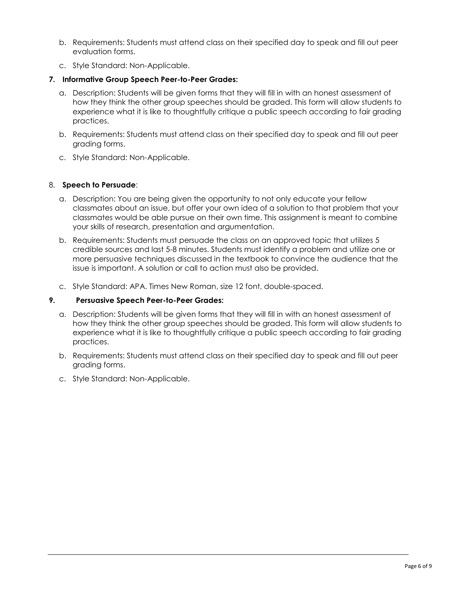- b. Requirements: Students must attend class on their specified day to speak and fill out peer evaluation forms.
- c. Style Standard: Non-Applicable.

#### **7. Informative Group Speech Peer-to-Peer Grades:**

- a. Description: Students will be given forms that they will fill in with an honest assessment of how they think the other group speeches should be graded. This form will allow students to experience what it is like to thoughtfully critique a public speech according to fair grading practices.
- b. Requirements: Students must attend class on their specified day to speak and fill out peer grading forms.
- c. Style Standard: Non-Applicable.

#### 8. **Speech to Persuade**:

- a. Description: You are being given the opportunity to not only educate your fellow classmates about an issue, but offer your own idea of a solution to that problem that your classmates would be able pursue on their own time. This assignment is meant to combine your skills of research, presentation and argumentation.
- b. Requirements: Students must persuade the class on an approved topic that utilizes 5 credible sources and last 5-8 minutes. Students must identify a problem and utilize one or more persuasive techniques discussed in the textbook to convince the audience that the issue is important. A solution or call to action must also be provided.
- c. Style Standard: APA. Times New Roman, size 12 font, double-spaced.

#### **9. Persuasive Speech Peer-to-Peer Grades:**

- a. Description: Students will be given forms that they will fill in with an honest assessment of how they think the other group speeches should be graded. This form will allow students to experience what it is like to thoughtfully critique a public speech according to fair grading practices.
- b. Requirements: Students must attend class on their specified day to speak and fill out peer grading forms.
- c. Style Standard: Non-Applicable.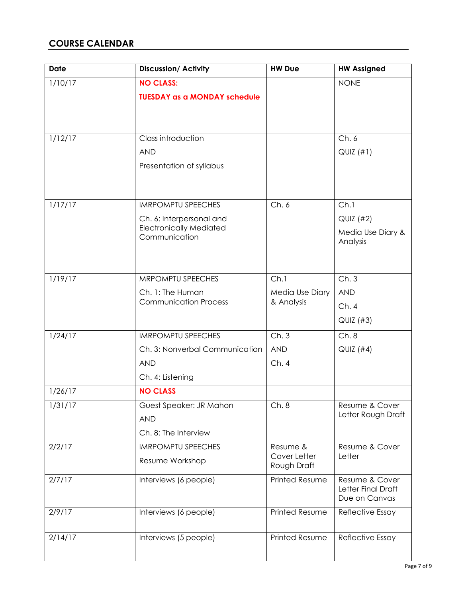# **COURSE CALENDAR**

| <b>Date</b> | <b>Discussion/Activity</b>                                 | <b>HW Due</b>                 | <b>HW Assigned</b>                   |
|-------------|------------------------------------------------------------|-------------------------------|--------------------------------------|
| 1/10/17     | <b>NO CLASS:</b>                                           |                               | <b>NONE</b>                          |
|             | <b>TUESDAY as a MONDAY schedule</b>                        |                               |                                      |
|             |                                                            |                               |                                      |
|             |                                                            |                               |                                      |
| 1/12/17     | Class introduction                                         |                               | Ch.6                                 |
|             | <b>AND</b>                                                 |                               | QUIZ(H1)                             |
|             | Presentation of syllabus                                   |                               |                                      |
|             |                                                            |                               |                                      |
|             |                                                            |                               |                                      |
| 1/17/17     | <b>IMRPOMPTU SPEECHES</b>                                  | Ch.6                          | Ch.1                                 |
|             | Ch. 6: Interpersonal and<br><b>Electronically Mediated</b> |                               | QUIZ (#2)                            |
|             | Communication                                              |                               | Media Use Diary &<br>Analysis        |
|             |                                                            |                               |                                      |
|             |                                                            |                               |                                      |
| 1/19/17     | MRPOMPTU SPEECHES                                          | Ch.1                          | Ch.3                                 |
|             | Ch. 1: The Human<br><b>Communication Process</b>           | Media Use Diary<br>& Analysis | <b>AND</b>                           |
|             |                                                            |                               | Ch.4                                 |
|             |                                                            |                               | QUIZ (#3)                            |
| 1/24/17     | <b>IMRPOMPTU SPEECHES</b>                                  | Ch.3                          | Ch.8                                 |
|             | Ch. 3: Nonverbal Communication                             | <b>AND</b>                    | $QUIZ$ (#4)                          |
|             | <b>AND</b>                                                 | Ch.4                          |                                      |
|             | Ch. 4: Listening                                           |                               |                                      |
| 1/26/17     | <b>NO CLASS</b>                                            |                               |                                      |
| 1/31/17     | Guest Speaker: JR Mahon                                    | Ch.8                          | Resume & Cover<br>Letter Rough Draft |
|             | <b>AND</b>                                                 |                               |                                      |
|             | Ch. 8: The Interview                                       |                               |                                      |
| 2/2/17      | <b>IMRPOMPTU SPEECHES</b>                                  | Resume &<br>Cover Letter      | Resume & Cover<br>Letter             |
|             | Resume Workshop                                            | Rough Draft                   |                                      |
| 2/7/17      | Interviews (6 people)                                      | <b>Printed Resume</b>         | Resume & Cover                       |
|             |                                                            |                               | Letter Final Draft<br>Due on Canvas  |
| 2/9/17      | Interviews (6 people)                                      | <b>Printed Resume</b>         | Reflective Essay                     |
|             |                                                            |                               |                                      |
| 2/14/17     | Interviews (5 people)                                      | <b>Printed Resume</b>         | Reflective Essay                     |
|             |                                                            |                               |                                      |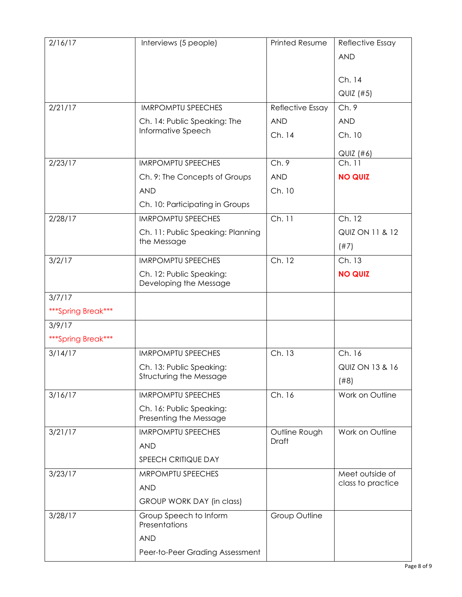| 2/16/17            | Interviews (5 people)                              | <b>Printed Resume</b> | Reflective Essay           |
|--------------------|----------------------------------------------------|-----------------------|----------------------------|
|                    |                                                    |                       | <b>AND</b>                 |
|                    |                                                    |                       |                            |
|                    |                                                    |                       | Ch. 14                     |
|                    |                                                    |                       | QUIZ (#5)                  |
| 2/21/17            | <b>IMRPOMPTU SPEECHES</b>                          | Reflective Essay      | Ch.9                       |
|                    | Ch. 14: Public Speaking: The<br>Informative Speech | <b>AND</b>            | <b>AND</b>                 |
|                    |                                                    | Ch. 14                | Ch. 10                     |
|                    |                                                    |                       | $QUIZ$ (#6)                |
| 2/23/17            | <b>IMRPOMPTU SPEECHES</b>                          | Ch.9                  | Ch. 11                     |
|                    | Ch. 9: The Concepts of Groups                      | <b>AND</b>            | <b>NO QUIZ</b>             |
|                    | <b>AND</b>                                         | Ch. 10                |                            |
|                    | Ch. 10: Participating in Groups                    |                       |                            |
| 2/28/17            | <b>IMRPOMPTU SPEECHES</b>                          | Ch. 11                | Ch. 12                     |
|                    | Ch. 11: Public Speaking: Planning                  |                       | <b>QUIZ ON 11 &amp; 12</b> |
|                    | the Message                                        |                       | (#7)                       |
| 3/2/17             | <b>IMRPOMPTU SPEECHES</b>                          | Ch. 12                | Ch. 13                     |
|                    | Ch. 12: Public Speaking:<br>Developing the Message |                       | <b>NO QUIZ</b>             |
| 3/7/17             |                                                    |                       |                            |
| ***Spring Break*** |                                                    |                       |                            |
| 3/9/17             |                                                    |                       |                            |
| ***Spring Break*** |                                                    |                       |                            |
| 3/14/17            | <b>IMRPOMPTU SPEECHES</b>                          | Ch. 13                | Ch. 16                     |
|                    | Ch. 13: Public Speaking:                           |                       | <b>QUIZ ON 13 &amp; 16</b> |
|                    | Structuring the Message                            |                       | (#8)                       |
| 3/16/17            | <b>IMRPOMPTU SPEECHES</b>                          | Ch. 16                | Work on Outline            |
|                    | Ch. 16: Public Speaking:<br>Presenting the Message |                       |                            |
| 3/21/17            | <b>IMRPOMPTU SPEECHES</b>                          | Outline Rough         | Work on Outline            |
|                    | <b>AND</b>                                         | Draft                 |                            |
|                    | SPEECH CRITIQUE DAY                                |                       |                            |
| 3/23/17            | MRPOMPTU SPEECHES                                  |                       | Meet outside of            |
|                    | <b>AND</b>                                         |                       | class to practice          |
|                    | GROUP WORK DAY (in class)                          |                       |                            |
| 3/28/17            | Group Speech to Inform<br>Presentations            | Group Outline         |                            |
|                    | <b>AND</b>                                         |                       |                            |
|                    | Peer-to-Peer Grading Assessment                    |                       |                            |